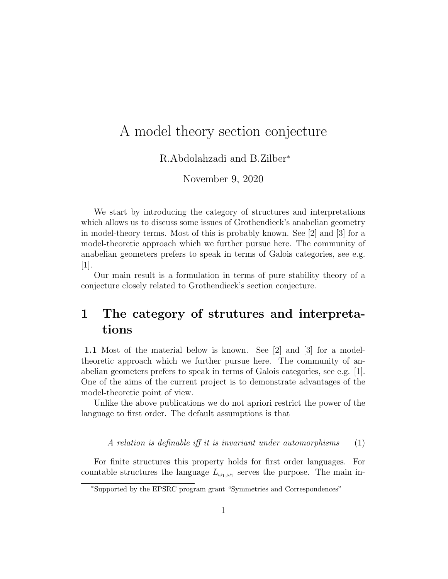# A model theory section conjecture

R.Abdolahzadi and B.Zilber<sup>∗</sup>

November 9, 2020

We start by introducing the category of structures and interpretations which allows us to discuss some issues of Grothendieck's anabelian geometry in model-theory terms. Most of this is probably known. See [2] and [3] for a model-theoretic approach which we further pursue here. The community of anabelian geometers prefers to speak in terms of Galois categories, see e.g.  $[1]$ .

Our main result is a formulation in terms of pure stability theory of a conjecture closely related to Grothendieck's section conjecture.

## 1 The category of strutures and interpretations

1.1 Most of the material below is known. See [2] and [3] for a modeltheoretic approach which we further pursue here. The community of anabelian geometers prefers to speak in terms of Galois categories, see e.g. [1]. One of the aims of the current project is to demonstrate advantages of the model-theoretic point of view.

Unlike the above publications we do not apriori restrict the power of the language to first order. The default assumptions is that

A relation is definable iff it is invariant under automorphisms  $(1)$ 

For finite structures this property holds for first order languages. For countable structures the language  $L_{\omega_1,\omega_1}$  serves the purpose. The main in-

<sup>∗</sup>Supported by the EPSRC program grant "Symmetries and Correspondences"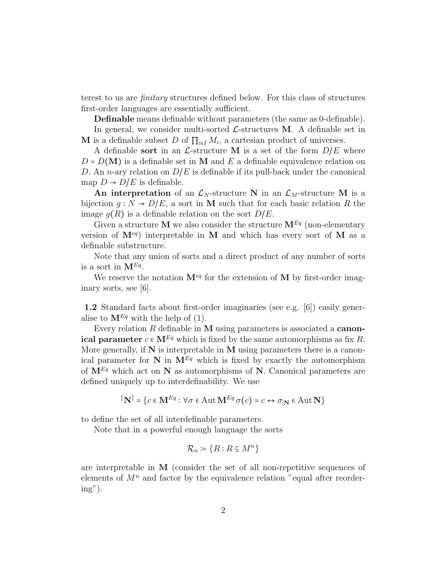terest to us are finitary structures defined below. For this class of structures first-order languages are essentially sufficient.

Definable means definable without parameters (the same as 0-definable). In general, we consider multi-sorted  $\mathcal{L}$ -structures M. A definable set in **M** is a definable subset D of  $\prod_{i \in I} M_i$ , a cartesian product of universes.

A definable sort in an  $\mathcal{L}$ -structure M is a set of the form  $D/E$  where  $D = D(M)$  is a definable set in M and E a definable equivalence relation on D. An *n*-ary relation on  $D/E$  is definable if its pull-back under the canonical map  $D \to D/E$  is definable.

An interpretation of an  $\mathcal{L}_N$ -structure N in an  $\mathcal{L}_M$ -structure M is a bijection  $q : N \to D/E$ , a sort in M such that for each basic relation R the image  $g(R)$  is a definable relation on the sort  $D/E$ .

Given a structure M we also consider the structure  $M^{Eq}$  (non-elementary version of  $M^{eq}$  interpretable in M and which has every sort of M as a definable substructure.

Note that any union of sorts and a direct product of any number of sorts is a sort in  $\mathbf{M}^{Eq}$ .

We reserve the notation  $\mathbf{M}^{eq}$  for the extension of M by first-order imaginary sorts, see [6].

1.2 Standard facts about first-order imaginaries (see e.g. [6]) easily generalise to  $\mathbf{M}^{Eq}$  with the help of (1).

Every relation  $R$  definable in  $M$  using parameters is associated a **canon**ical parameter  $c \in M^{Eq}$  which is fixed by the same automorphisms as fix R. More generally, if  $N$  is interpretable in  $M$  using parameters there is a canonical parameter for  $N$  in  $M^{Eq}$  which is fixed by exactly the automorphism of  $M^{Eq}$  which act on N as automorphisms of N. Canonical parameters are defined uniquely up to interdefinability. We use

$$
[\mathbf{N}] = \{c \in \mathbf{M}^{Eq} : \forall \sigma \in \text{Aut } \mathbf{M}^{Eq} \sigma(c) = c \leftrightarrow \sigma_{|\mathbf{N}} \in \text{Aut } \mathbf{N}\}
$$

to define the set of all interdefinable parameters.

Note that in a powerful enough language the sorts

$$
\mathcal{R}_n \coloneqq \{ R : R \subseteq M^n \}
$$

are interpretable in M (consider the set of all non-repetitive sequences of elements of  $M<sup>n</sup>$  and factor by the equivalence relation "equal after reorder $ing$ ").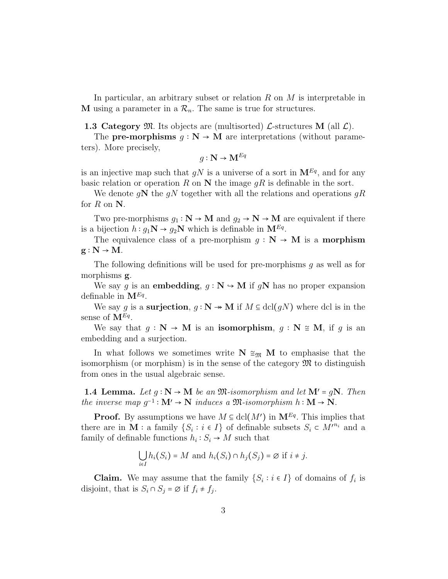In particular, an arbitrary subset or relation  $R$  on  $M$  is interpretable in M using a parameter in a  $\mathcal{R}_n$ . The same is true for structures.

1.3 Category  $\mathfrak{M}$ . Its objects are (multisorted)  $\mathcal{L}$ -structures M (all  $\mathcal{L}$ ).

The **pre-morphisms**  $g : \mathbb{N} \to \mathbb{M}$  are interpretations (without parameters). More precisely,

$$
g: \mathbf{N} \to \mathbf{M}^{Eq}
$$

is an injective map such that  $gN$  is a universe of a sort in  $\mathbf{M}^{Eq}$ , and for any basic relation or operation R on N the image  $gR$  is definable in the sort.

We denote gN the gN together with all the relations and operations gR for  $R$  on  $N$ .

Two pre-morphisms  $g_1 : \mathbb{N} \to \mathbb{M}$  and  $g_2 \to \mathbb{N} \to \mathbb{M}$  are equivalent if there is a bijection  $h: g_1 \mathbf{N} \to g_2 \mathbf{N}$  which is definable in  $\mathbf{M}^{Eq}$ .

The equivalence class of a pre-morphism  $q : N \to M$  is a **morphism**  $g : N \rightarrow M$ .

The following definitions will be used for pre-morphisms g as well as for morphisms g.

We say q is an embedding,  $q : \mathbb{N} \to \mathbb{M}$  if qN has no proper expansion definable in  $\mathbf{M}^{Eq}$ .

We say g is a surjection,  $g : \mathbb{N} \to \mathbb{M}$  if  $M \subseteq \text{dcl}(gN)$  where dcl is in the sense of  $\mathbf{M}^{Eq}$ .

We say that  $q : \mathbb{N} \to \mathbb{M}$  is an isomorphism,  $q : \mathbb{N} \cong \mathbb{M}$ , if q is an embedding and a surjection.

In what follows we sometimes write  $N \cong_{\mathfrak{M}} M$  to emphasise that the isomorphism (or morphism) is in the sense of the category  $\mathfrak{M}$  to distinguish from ones in the usual algebraic sense.

**1.4 Lemma.** Let  $q : \mathbb{N} \to \mathbb{M}$  be an  $\mathfrak{M}$ -isomorphism and let  $\mathbb{M}' = q\mathbb{N}$ . Then the inverse map  $g^{-1}: \mathbf{M}' \to \mathbf{N}$  induces a  $\mathfrak{M}$ -isomorphism  $h: \mathbf{M} \to \mathbf{N}$ .

**Proof.** By assumptions we have  $M \subseteq \text{dcl}(M')$  in  $\mathbf{M}^{Eq}$ . This implies that there are in **M** : a family  $\{S_i : i \in I\}$  of definable subsets  $S_i \subset M^{m_i}$  and a family of definable functions  $h_i: S_i \to M$  such that

$$
\bigcup_{i \in I} h_i(S_i) = M \text{ and } h_i(S_i) \cap h_j(S_j) = \emptyset \text{ if } i \neq j.
$$

**Claim.** We may assume that the family  $\{S_i : i \in I\}$  of domains of  $f_i$  is disjoint, that is  $S_i \cap S_j = \emptyset$  if  $f_i \neq f_j$ .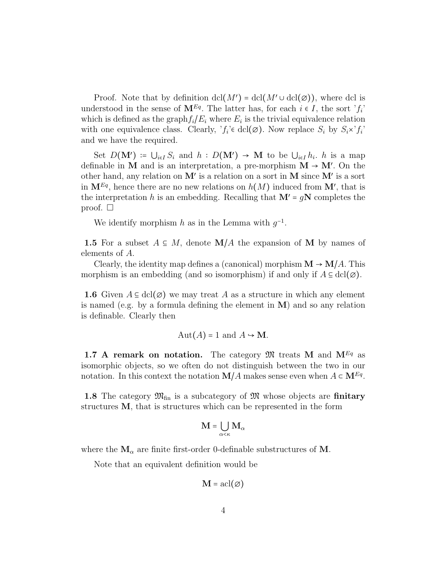Proof. Note that by definition  $\text{dcl}(M') = \text{dcl}(M' \cup \text{dcl}(\emptyset))$ , where dcl is understood in the sense of  $\mathbf{M}^{Eq}$ . The latter has, for each  $i \in I$ , the sort ' $f_i$ ' which is defined as the graph  $f_i/E_i$  where  $E_i$  is the trivial equivalence relation with one equivalence class. Clearly,  $f_i \in \text{dcl}(\emptyset)$ . Now replace  $S_i$  by  $S_i \times f_i$ and we have the required.

Set  $D(M') \coloneqq \bigcup_{i \in I} S_i$  and  $h: D(M') \to M$  to be  $\bigcup_{i \in I} h_i$ . h is a map definable in M and is an interpretation, a pre-morphism  $M \rightarrow M'$ . On the other hand, any relation on  $M'$  is a relation on a sort in M since  $M'$  is a sort in  $\mathbf{M}^{Eq}$ , hence there are no new relations on  $h(M)$  induced from  $\mathbf{M}'$ , that is the interpretation h is an embedding. Recalling that  $\mathbf{M}' = g\mathbf{N}$  completes the proof.  $\square$ 

We identify morphism h as in the Lemma with  $g^{-1}$ .

1.5 For a subset  $A \subseteq M$ , denote  $\mathbf{M}/A$  the expansion of M by names of elements of A.

Clearly, the identity map defines a (canonical) morphism  $\mathbf{M} \to \mathbf{M}/A$ . This morphism is an embedding (and so isomorphism) if and only if  $A \subseteq \text{dcl}(\emptyset)$ .

**1.6** Given  $A \subseteq \text{dcl}(\emptyset)$  we may treat A as a structure in which any element is named (e.g. by a formula defining the element in  $M$ ) and so any relation is definable. Clearly then

$$
Aut(A) = 1 \text{ and } A \rightarrow \mathbf{M}.
$$

1.7 A remark on notation. The category  $\mathfrak{M}$  treats M and  $M^{Eq}$  as isomorphic objects, so we often do not distinguish between the two in our notation. In this context the notation  $\mathbf{M}/A$  makes sense even when  $A \subset \mathbf{M}^{Eq}$ .

1.8 The category  $\mathfrak{M}_{\text{fin}}$  is a subcategory of  $\mathfrak{M}$  whose objects are finitary structures M, that is structures which can be represented in the form

$$
\mathbf{M} = \bigcup_{\alpha < \kappa} \mathbf{M}_{\alpha}
$$

where the  $M_{\alpha}$  are finite first-order 0-definable substructures of M.

Note that an equivalent definition would be

$$
\mathbf{M} = \operatorname{acl}(\varnothing)
$$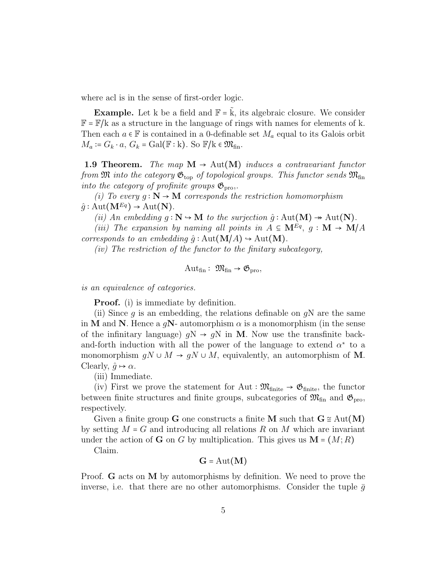where acl is in the sense of first-order logic.

**Example.** Let k be a field and  $\mathbb{F} = \hat{k}$ , its algebraic closure. We consider  $\mathbb{F} = \mathbb{F}/k$  as a structure in the language of rings with names for elements of k. Then each  $a \in \mathbb{F}$  is contained in a 0-definable set  $M_a$  equal to its Galois orbit  $M_a \coloneqq G_k \cdot a, G_k = \text{Gal}(\mathbb{F} : \mathbb{k})$ . So  $\mathbb{F}/\mathbb{k} \in \mathfrak{M}_{\text{fin}}$ .

1.9 Theorem. The map  $M \rightarrow Aut(M)$  induces a contravariant functor from  $\mathfrak M$  into the category  $\mathfrak{G}_{\text{top}}$  of topological groups. This functor sends  $\mathfrak{M}_{\text{fin}}$ into the category of profinite groups  $\mathfrak{G}_{\text{pro}}$ .

(i) To every  $g : \mathbb{N} \to \mathbb{M}$  corresponds the restriction homomorphism  $\hat{q}$ : Aut $(\mathbf{M}^{Eq}) \rightarrow$  Aut $(\mathbf{N})$ .

(ii) An embedding  $q : \mathbb{N} \to \mathbb{M}$  to the surjection  $\hat{q} : \text{Aut}(\mathbb{M}) \to \text{Aut}(\mathbb{N})$ .

(iii) The expansion by naming all points in  $A \subseteq \mathbf{M}^{Eq}$ ,  $g : \mathbf{M} \to \mathbf{M}/A$ corresponds to an embedding  $\hat{g} : \text{Aut}(\mathbf{M}/A) \to \text{Aut}(\mathbf{M})$ .

 $(iv)$  The restriction of the functor to the finitary subcategory,

$$
\mathrm{Aut}_{\mathrm{fin}}: \ \mathfrak{M}_{\mathrm{fin}} \to \mathfrak{G}_{\mathrm{pro}},
$$

is an equivalence of categories.

**Proof.** (i) is immediate by definition.

(ii) Since g is an embedding, the relations definable on  $qN$  are the same in M and N. Hence a  $qN$ - automorphism  $\alpha$  is a monomorphism (in the sense of the infinitary language)  $qN \rightarrow qN$  in M. Now use the transfinite backand-forth induction with all the power of the language to extend  $\alpha^*$  to a monomorphism  $gN \cup M \rightarrow gN \cup M$ , equivalently, an automorphism of M. Clearly,  $\hat{q} \mapsto \alpha$ .

(iii) Immediate.

(iv) First we prove the statement for Aut :  $\mathfrak{M}_{\text{finite}} \to \mathfrak{G}_{\text{finite}}$ , the functor between finite structures and finite groups, subcategories of  $\mathfrak{M}_{fin}$  and  $\mathfrak{G}_{pro}$ , respectively.

Given a finite group G one constructs a finite M such that  $G \cong Aut(M)$ by setting  $M = G$  and introducing all relations R on M which are invariant under the action of **G** on G by multiplication. This gives us  $M = (M;R)$ 

Claim.

$$
G = Aut(M)
$$

Proof. G acts on M by automorphisms by definition. We need to prove the inverse, i.e. that there are no other automorphisms. Consider the tuple  $\bar{g}$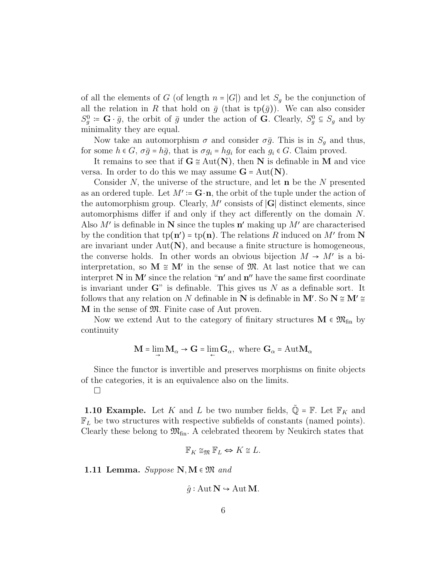of all the elements of G (of length  $n = |G|$ ) and let  $S_g$  be the conjunction of all the relation in R that hold on  $\bar{g}$  (that is tp( $\bar{g}$ )). We can also consider  $S_g^0 \coloneqq \mathbf{G} \cdot \bar{g}$ , the orbit of  $\bar{g}$  under the action of  $\mathbf{G}$ . Clearly,  $S_g^0 \subseteq S_g$  and by minimality they are equal.

Now take an automorphism  $\sigma$  and consider  $\sigma \bar{g}$ . This is in  $S_q$  and thus, for some  $h \in G$ ,  $\sigma \bar{g} = h\bar{g}$ , that is  $\sigma g_i = h g_i$  for each  $g_i \in G$ . Claim proved.

It remains to see that if  $G \cong Aut(N)$ , then N is definable in M and vice versa. In order to do this we may assume  $G = Aut(N)$ .

Consider  $N$ , the universe of the structure, and let  $\bf{n}$  be the  $N$  presented as an ordered tuple. Let  $M' \coloneqq \mathbf{G} \cdot \mathbf{n}$ , the orbit of the tuple under the action of the automorphism group. Clearly,  $M'$  consists of  $|G|$  distinct elements, since automorphisms differ if and only if they act differently on the domain N. Also  $M'$  is definable in N since the tuples  $n'$  making up  $M'$  are characterised by the condition that  $tp(n') = tp(n)$ . The relations R induced on M' from N are invariant under  $Aut(N)$ , and because a finite structure is homogeneous, the converse holds. In other words an obvious bijection  $M \to M'$  is a biinterpretation, so  $M \cong M'$  in the sense of  $M$ . At last notice that we can interpret N in M' since the relation " $n'$  and  $n''$  have the same first coordinate is invariant under  $\mathbf{G}^n$  is definable. This gives us N as a definable sort. It follows that any relation on N definable in N is definable in M'. So  $N \cong M' \cong$ M in the sense of M. Finite case of Aut proven.

Now we extend Aut to the category of finitary structures  $M \in \mathfrak{M}_{fin}$  by continuity

$$
\mathbf{M} = \lim_{\rightarrow} \mathbf{M}_{\alpha} \rightarrow \mathbf{G} = \lim_{\leftarrow} \mathbf{G}_{\alpha}, \text{ where } \mathbf{G}_{\alpha} = \mathrm{Aut} \mathbf{M}_{\alpha}
$$

Since the functor is invertible and preserves morphisms on finite objects of the categories, it is an equivalence also on the limits.

 $\Box$ 

**1.10 Example.** Let K and L be two number fields,  $\tilde{\mathbb{Q}} = \mathbb{F}$ . Let  $\mathbb{F}_K$  and  $\mathbb{F}_L$  be two structures with respective subfields of constants (named points). Clearly these belong to  $\mathfrak{M}_{fin}$ . A celebrated theorem by Neukirch states that

$$
\mathbb{F}_K \cong_{\mathfrak{M}} \mathbb{F}_L \Leftrightarrow K \cong L.
$$

1.11 Lemma. Suppose  $N, M \in \mathfrak{M}$  and

$$
\hat{g} : \text{Aut} \, \mathbb{N} \hookrightarrow \text{Aut} \, \mathbb{M}.
$$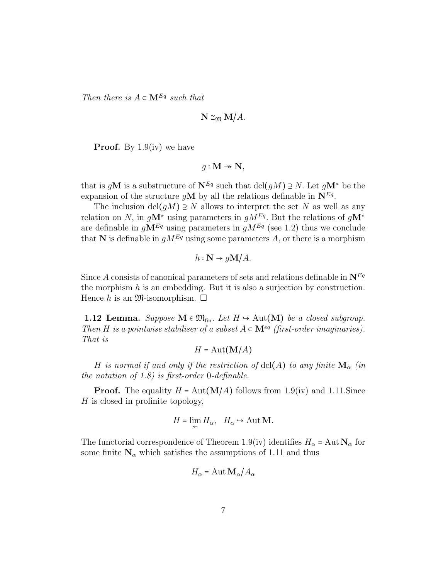Then there is  $A \subset \mathbf{M}^{Eq}$  such that

$$
\mathbf{N} \cong_{\mathfrak{M}} \mathbf{M}/A.
$$

**Proof.** By  $1.9$ (iv) we have

$$
g: \mathbf{M} \twoheadrightarrow \mathbf{N},
$$

that is gM is a substructure of  $N^{Eq}$  such that  $\text{dcl}(gM) \supseteq N$ . Let  $gM^*$  be the expansion of the structure gM by all the relations definable in  $N^{Eq}$ .

The inclusion dcl( $qM$ ) ⊇ N allows to interpret the set N as well as any relation on N, in  $g\mathbf{M}^*$  using parameters in  $gM^{Eq}$ . But the relations of  $g\mathbf{M}^*$ are definable in  $gM^{Eq}$  using parameters in  $gM^{Eq}$  (see 1.2) thus we conclude that N is definable in  $gM^{Eq}$  using some parameters A, or there is a morphism

$$
h: \mathbb{N} \rightarrow g\mathbb{M}/A.
$$

Since A consists of canonical parameters of sets and relations definable in  $N^{Eq}$ the morphism  $h$  is an embedding. But it is also a surjection by construction. Hence h is an  $\mathfrak{M}$ -isomorphism.  $\Box$ 

**1.12 Lemma.** Suppose  $M \in \mathfrak{M}_{fin}$ . Let  $H \hookrightarrow \text{Aut}(M)$  be a closed subgroup. Then H is a pointwise stabiliser of a subset  $A \subset \mathbf{M}^{eq}$  (first-order imaginaries). That is

$$
H = \text{Aut}(\mathbf{M}/A)
$$

H is normal if and only if the restriction of  $dcl(A)$  to any finite  $M_{\alpha}$  (in the notation of 1.8) is first-order 0-definable.

**Proof.** The equality  $H = Aut(M/A)$  follows from 1.9(iv) and 1.11. Since H is closed in profinite topology,

$$
H = \lim_{\leftarrow} H_{\alpha}, \quad H_{\alpha} \hookrightarrow \text{Aut } \mathbf{M}.
$$

The functorial correspondence of Theorem 1.9(iv) identifies  $H_{\alpha} = \text{Aut } \mathbf{N}_{\alpha}$  for some finite  $N_{\alpha}$  which satisfies the assumptions of 1.11 and thus

$$
H_{\alpha} = \text{Aut}\,\mathbf{M}_{\alpha}/A_{\alpha}
$$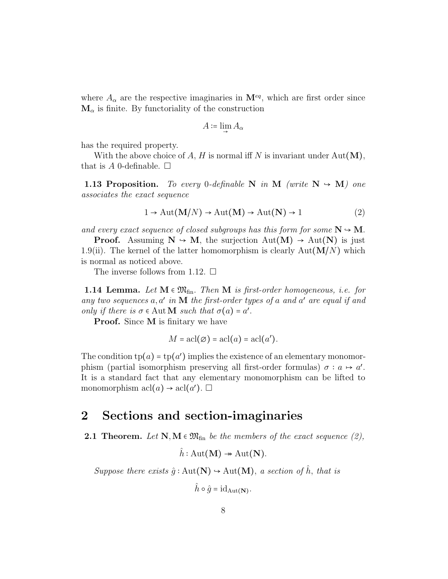where  $A_{\alpha}$  are the respective imaginaries in  $\mathbf{M}^{eq}$ , which are first order since  $M_{\alpha}$  is finite. By functoriality of the construction

$$
A \coloneqq \lim_{\rightarrow} A_{\alpha}
$$

has the required property.

With the above choice of A, H is normal iff N is invariant under  $Aut(M)$ , that is A 0-definable.  $\square$ 

**1.13 Proposition.** To every 0-definable N in M (write  $N \rightarrow M$ ) one associates the exact sequence

$$
1 \to \text{Aut}(\mathbf{M}/N) \to \text{Aut}(\mathbf{M}) \to \text{Aut}(\mathbf{N}) \to 1
$$
 (2)

and every exact sequence of closed subgroups has this form for some  $N \rightarrow M$ .

**Proof.** Assuming  $N \rightarrow M$ , the surjection  $Aut(M) \rightarrow Aut(N)$  is just 1.9(ii). The kernel of the latter homomorphism is clearly  $Aut(M/N)$  which is normal as noticed above.

The inverse follows from 1.12.  $\Box$ 

**1.14 Lemma.** Let  $M \in \mathfrak{M}_{fin}$ . Then M is first-order homogeneous, i.e. for any two sequences  $a, a'$  in  $M$  the first-order types of a and  $a'$  are equal if and only if there is  $\sigma \in \text{Aut} \mathbf{M}$  such that  $\sigma(a) = a'$ .

**Proof.** Since **M** is finitary we have

$$
M = \operatorname{acl}(\varnothing) = \operatorname{acl}(a) = \operatorname{acl}(a').
$$

The condition  $tp(a) = tp(a')$  implies the existence of an elementary monomorphism (partial isomorphism preserving all first-order formulas)  $\sigma : a \mapsto a'$ . It is a standard fact that any elementary monomorphism can be lifted to monomorphism  $\operatorname{acl}(a) \to \operatorname{acl}(a')$ .

#### 2 Sections and section-imaginaries

**2.1 Theorem.** Let  $N, M \in \mathfrak{M}_{fin}$  be the members of the exact sequence (2),

 $\hat{h}$ : Aut(**M**)  $\rightarrow$  Aut(**N**).

Suppose there exists  $\hat{g} : Aut(N) \to Aut(M)$ , a section of  $\hat{h}$ , that is

 $\hat{h} \circ \hat{g} = \mathrm{id}_{\mathrm{Aut}(\mathbf{N})}.$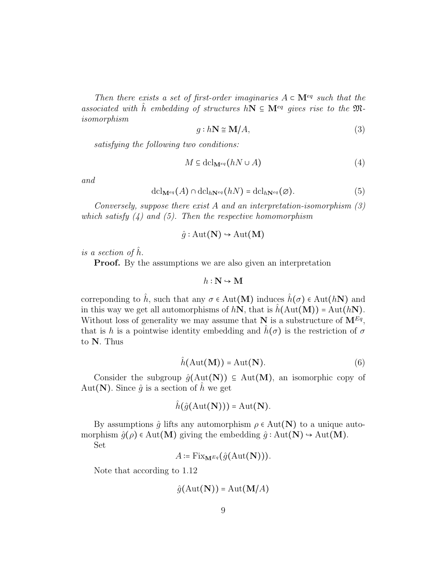Then there exists a set of first-order imaginaries  $A \subset \mathbf{M}^{eq}$  such that the associated with h embedding of structures hN  $\subseteq M^{eq}$  gives rise to the Misomorphism

$$
g: h\mathbf{N} \cong \mathbf{M}/A,\tag{3}
$$

satisfying the following two conditions:

$$
M \subseteq \text{dcl}_{\mathbf{M}^{eq}}(hN \cup A)
$$
 (4)

and

$$
\mathrm{dcl}_{\mathbf{M}^{eq}}(A)\cap \mathrm{dcl}_{h\mathbf{N}^{eq}}(hN)=\mathrm{dcl}_{h\mathbf{N}^{eq}}(\varnothing). \tag{5}
$$

Conversely, suppose there exist A and an interpretation-isomorphism (3) which satisfy  $(4)$  and  $(5)$ . Then the respective homomorphism

$$
\hat{g} : \text{Aut}(\mathbf{N}) \rightarrow \text{Aut}(\mathbf{M})
$$

is a section of  $h$ .

**Proof.** By the assumptions we are also given an interpretation

$$
h:\mathbf{N}\hookrightarrow\mathbf{M}
$$

correponding to  $\hat{h}$ , such that any  $\sigma \in \text{Aut}(\mathbf{M})$  induces  $\hat{h}(\sigma) \in \text{Aut}(h\mathbf{N})$  and in this way we get all automorphisms of  $hN$ , that is  $\hat{h}(\text{Aut}(\mathbf{M})) = \text{Aut}(hN)$ . Without loss of generality we may assume that N is a substructure of  $\mathbf{M}^{Eq}$ , that is h is a pointwise identity embedding and  $h(\sigma)$  is the restriction of  $\sigma$ to N. Thus

$$
\hat{h}(\text{Aut}(\mathbf{M})) = \text{Aut}(\mathbf{N}).\tag{6}
$$

Consider the subgroup  $\hat{g}(\text{Aut}(\mathbf{N})) \subseteq \text{Aut}(\mathbf{M})$ , an isomorphic copy of Aut(N). Since  $\hat{g}$  is a section of h we get

$$
\hat{h}(\hat{g}(\text{Aut}(\mathbf{N}))) = \text{Aut}(\mathbf{N}).
$$

By assumptions  $\hat{g}$  lifts any automorphism  $\rho \in Aut(N)$  to a unique automorphism  $\hat{g}(\rho) \in Aut(M)$  giving the embedding  $\hat{g} : Aut(N) \to Aut(M)$ .

Set

$$
A \coloneqq \mathrm{Fix}_{\mathbf{M}^{Eq}}(\hat{g}(\mathrm{Aut}(\mathbf{N}))).
$$

Note that according to 1.12

$$
\hat{g}(\text{Aut}(\mathbf{N})) = \text{Aut}(\mathbf{M}/A)
$$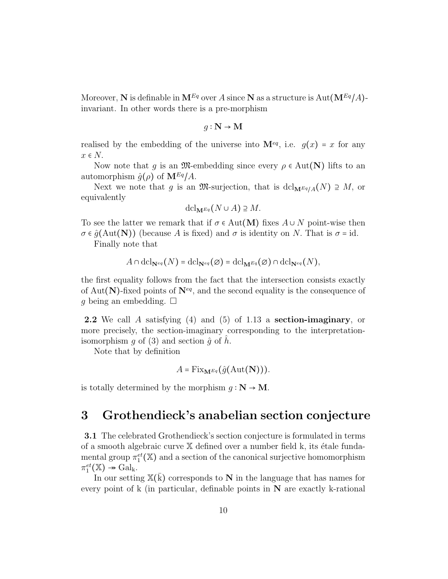Moreover, N is definable in  $M^{Eq}$  over A since N as a structure is Aut $(M^{Eq}/A)$ invariant. In other words there is a pre-morphism

$$
g: \mathbf{N} \to \mathbf{M}
$$

realised by the embedding of the universe into  $\mathbf{M}^{eq}$ , i.e.  $g(x) = x$  for any  $x \in N$ .

Now note that q is an  $\mathfrak{M}$ -embedding since every  $\rho \in Aut(N)$  lifts to an automorphism  $\hat{g}(\rho)$  of  $\mathbf{M}^{Eq}/A$ .

Next we note that g is an M-surjection, that is dcl<sub>MEq/A</sub>(N)  $\supseteq M$ , or equivalently

$$
\mathrm{dcl}_{\mathbf{M}^{Eq}}(N\cup A)\supseteq M.
$$

To see the latter we remark that if  $\sigma \in Aut(M)$  fixes  $A \cup N$  point-wise then  $\sigma \in \hat{q}(Aut(N))$  (because A is fixed) and  $\sigma$  is identity on N. That is  $\sigma = id$ .

Finally note that

$$
A \cap \operatorname{dcl}_{\mathbf{N}^{eq}}(N) = \operatorname{dcl}_{\mathbf{N}^{eq}}(\varnothing) = \operatorname{dcl}_{\mathbf{M}^{Eq}}(\varnothing) \cap \operatorname{dcl}_{\mathbf{N}^{eq}}(N),
$$

the first equality follows from the fact that the intersection consists exactly of Aut(N)-fixed points of  $N^{eq}$ , and the second equality is the consequence of g being an embedding.  $\square$ 

2.2 We call A satisfying (4) and (5) of 1.13 a section-imaginary, or more precisely, the section-imaginary corresponding to the interpretationisomorphism g of (3) and section  $\hat{g}$  of h.

Note that by definition

$$
A = \mathrm{Fix}_{\mathbf{M}^{Eq}}(\hat{g}(\mathrm{Aut}(\mathbf{N}))).
$$

is totally determined by the morphism  $q : N \to M$ .

### 3 Grothendieck's anabelian section conjecture

3.1 The celebrated Grothendieck's section conjecture is formulated in terms of a smooth algebraic curve  $X$  defined over a number field k, its étale fundamental group  $\pi_1^{et}(\mathbb{X})$  and a section of the canonical surjective homomorphism  $\pi_1^{et}(\mathbb{X}) \twoheadrightarrow \text{Gal}_k.$ 

In our setting  $\mathbb{X}(\bar{k})$  corresponds to N in the language that has names for every point of  $k$  (in particular, definable points in  $N$  are exactly k-rational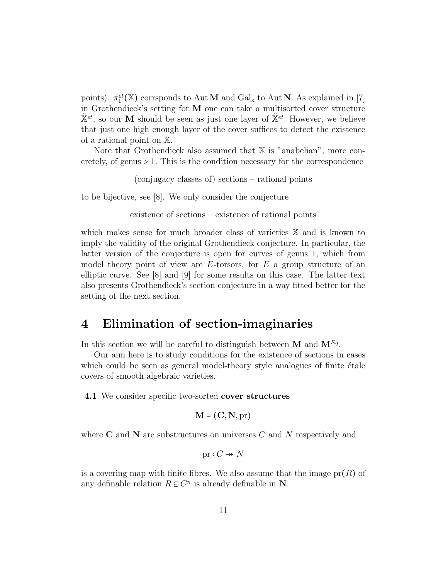points).  $\pi_1^{et}(\mathbb{X})$  corrsponds to Aut **M** and Gal<sub>k</sub> to Aut **N**. As explained in [7] in Grothendieck's setting for M one can take a multisorted cover structure  $\tilde{\mathbb{X}}^{et}$ , so our M should be seen as just one layer of  $\tilde{\mathbb{X}}^{et}$ . However, we believe that just one high enough layer of the cover suffices to detect the existence of a rational point on X.

Note that Grothendieck also assumed that  $X$  is "anabelian", more concretely, of genus  $> 1$ . This is the condition necessary for the correspondence

(conjugacy classes of) sections – rational points

to be bijective, see [8]. We only consider the conjecture

existence of sections – existence of rational points

which makes sense for much broader class of varieties X and is known to imply the validity of the original Grothendieck conjecture. In particular, the latter version of the conjecture is open for curves of genus 1, which from model theory point of view are  $E$ -torsors, for  $E$  a group structure of an elliptic curve. See [8] and [9] for some results on this case. The latter text also presents Grothendieck's section conjecture in a way fitted better for the setting of the next section.

#### 4 Elimination of section-imaginaries

In this section we will be careful to distinguish between M and  $M^{Eq}$ .

Our aim here is to study conditions for the existence of sections in cases which could be seen as general model-theory style analogues of finite  $\acute{e}$ tale covers of smooth algebraic varieties.

4.1 We consider specific two-sorted cover structures

$$
\mathbf{M} = (\mathbf{C}, \mathbf{N}, \text{pr})
$$

where  $C$  and  $N$  are substructures on universes  $C$  and  $N$  respectively and

$$
\text{pr}: C \twoheadrightarrow N
$$

is a covering map with finite fibres. We also assume that the image  $pr(R)$  of any definable relation  $R \subseteq C^n$  is already definable in N.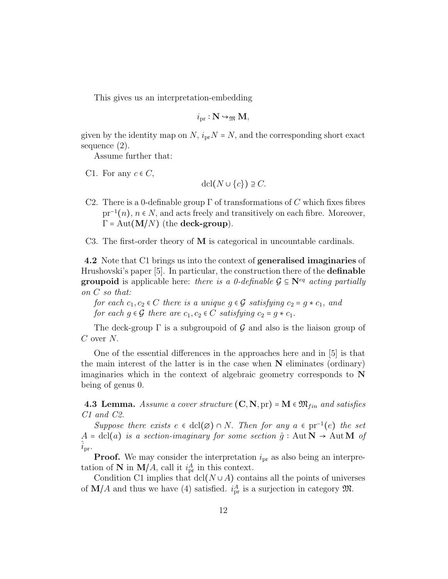This gives us an interpretation-embedding

$$
i_{\text{pr}}:\mathbf{N} \hookrightarrow_{\mathfrak{M}} \mathbf{M},
$$

given by the identity map on N,  $i_{pr}N = N$ , and the corresponding short exact sequence (2).

Assume further that:

C1. For any  $c \in C$ ,

$$
\operatorname{dcl}(N \cup \{c\}) \supseteq C.
$$

- C2. There is a 0-definable group  $\Gamma$  of transformations of C which fixes fibres  $pr^{-1}(n)$ ,  $n \in N$ , and acts freely and transitively on each fibre. Moreover,  $\Gamma = \text{Aut}(\mathbf{M}/N)$  (the **deck-group**).
- C3. The first-order theory of M is categorical in uncountable cardinals.

4.2 Note that C1 brings us into the context of generalised imaginaries of Hrushovski's paper [5]. In particular, the construction there of the definable **groupoid** is applicable here: there is a 0-definable  $\mathcal{G} \subseteq \mathbb{N}^{eq}$  acting partially on C so that:

for each  $c_1, c_2 \in C$  there is a unique  $g \in \mathcal{G}$  satisfying  $c_2 = g * c_1$ , and for each  $g \in \mathcal{G}$  there are  $c_1, c_2 \in C$  satisfying  $c_2 = g * c_1$ .

The deck-group  $\Gamma$  is a subgroupoid of G and also is the liaison group of  $C$  over  $N$ .

One of the essential differences in the approaches here and in [5] is that the main interest of the latter is in the case when  $N$  eliminates (ordinary) imaginaries which in the context of algebraic geometry corresponds to N being of genus 0.

**4.3 Lemma.** Assume a cover structure  $(C, N, pr) = M \in \mathfrak{M}_{fin}$  and satisfies C1 and C2.

Suppose there exists  $e \in \text{dcl}(\emptyset) \cap N$ . Then for any  $a \in \text{pr}^{-1}(e)$  the set  $A = \text{dcl}(a)$  is a section-imaginary for some section  $\hat{g} : \text{Aut} \, \mathbb{N} \to \text{Aut} \, \mathbb{M}$  of  $i_{\text{pr}}$ .

**Proof.** We may consider the interpretation  $i_{\text{pr}}$  as also being an interpretation of N in  $\mathbf{M}/A$ , call it  $i_{\text{pr}}^A$  in this context.

Condition C1 implies that  $dcl(N \cup A)$  contains all the points of universes of  $\mathbf{M}/A$  and thus we have (4) satisfied.  $i_{\text{pr}}^A$  is a surjection in category  $\mathfrak{M}$ .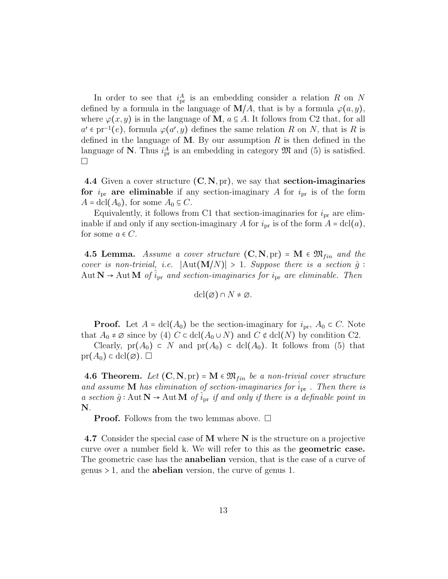In order to see that  $i_{\text{pr}}^A$  is an embedding consider a relation R on N defined by a formula in the language of  $\mathbf{M}/A$ , that is by a formula  $\varphi(a, y)$ , where  $\varphi(x, y)$  is in the language of **M**,  $a \in A$ . It follows from C2 that, for all  $a' \in pr^{-1}(e)$ , formula  $\varphi(a', y)$  defines the same relation R on N, that is R is defined in the language of M. By our assumption  $R$  is then defined in the language of N. Thus  $i_{pr}^A$  is an embedding in category  $\mathfrak{M}$  and (5) is satisfied.  $\sqcup$ 

4.4 Given a cover structure  $(C, N, pr)$ , we say that **section-imaginaries** for  $i_{\text{pr}}$  are eliminable if any section-imaginary A for  $i_{\text{pr}}$  is of the form  $A = \text{dcl}(A_0)$ , for some  $A_0 \subseteq C$ .

Equivalently, it follows from C1 that section-imaginaries for  $i_{\text{pr}}$  are eliminable if and only if any section-imaginary A for  $i_{\text{pr}}$  is of the form  $A = \text{dcl}(a)$ , for some  $a \in C$ .

**4.5 Lemma.** Assume a cover structure  $(C, N, pr) = M \in \mathfrak{M}_{fin}$  and the cover is non-trivial, i.e.  $|\text{Aut}(\mathbf{M}/N)| > 1$ . Suppose there is a section  $\hat{g}$ : Aut  $N \to$  Aut M of  $\hat{i}_{pr}$  and section-imaginaries for  $i_{pr}$  are eliminable. Then

$$
\operatorname{dcl}(\varnothing) \cap N \neq \varnothing.
$$

**Proof.** Let  $A = \text{dcl}(A_0)$  be the section-imaginary for  $i_{\text{pr}}, A_0 \subset C$ . Note that  $A_0 \neq \emptyset$  since by (4)  $C \subset \text{dcl}(A_0 \cup N)$  and  $C \notin \text{dcl}(N)$  by condition C2.

Clearly, pr(A<sub>0</sub>) ⊂ N and pr(A<sub>0</sub>) ⊂ dcl(A<sub>0</sub>). It follows from (5) that  $pr(A_0) \subset \text{dcl}(\varnothing)$ .

**4.6 Theorem.** Let  $(C, N, pr) = M \in \mathfrak{M}_{fin}$  be a non-trivial cover structure and assume **M** has elimination of section-imaginaries for  $i_{\text{pr}}$ . Then there is a section  $\hat{g}$ : Aut  $\mathbf{N} \to$  Aut  $\mathbf{M}$  of  $i_{\text{pr}}$  if and only if there is a definable point in N.

**Proof.** Follows from the two lemmas above.  $\Box$ 

4.7 Consider the special case of M where N is the structure on a projective curve over a number field k. We will refer to this as the geometric case. The geometric case has the **anabelian** version, that is the case of a curve of genus  $> 1$ , and the **abelian** version, the curve of genus 1.